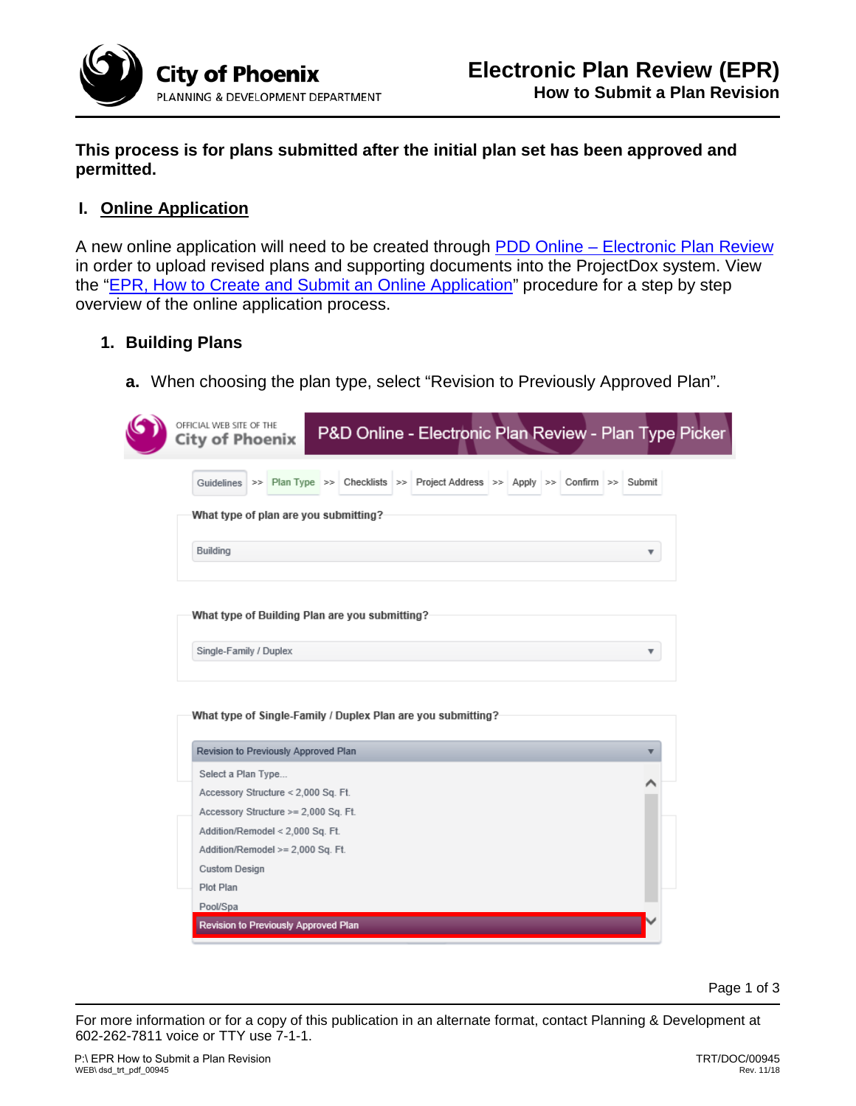

**This process is for plans submitted after the initial plan set has been approved and permitted.**

# **I. Online Application**

A new online application will need to be created through PDD Online - Electronic Plan Review in order to upload revised plans and supporting documents into the ProjectDox system. View the ["EPR, How to Create and Submit an Online Application"](https://www.phoenix.gov/pddsite/Documents/TRT/dsd_trt_pdf_00945.pdf) procedure for a step by step overview of the online application process.

### **1. Building Plans**

**a.** When choosing the plan type, select "Revision to Previously Approved Plan".

| What type of plan are you submitting?                                                                |                         |
|------------------------------------------------------------------------------------------------------|-------------------------|
| Building                                                                                             | ▼                       |
| What type of Building Plan are you submitting?                                                       |                         |
| Single-Family / Duplex                                                                               |                         |
|                                                                                                      | $\overline{\mathbf{v}}$ |
| What type of Single-Family / Duplex Plan are you submitting?<br>Revision to Previously Approved Plan |                         |
| Select a Plan Type                                                                                   |                         |
| Accessory Structure < 2,000 Sq. Ft.                                                                  |                         |
| Accessory Structure >= 2,000 Sq. Ft.                                                                 |                         |
| Addition/Remodel < 2,000 Sq. Ft.                                                                     |                         |
| Addition/Remodel >= 2,000 Sq. Ft.                                                                    |                         |
| <b>Custom Design</b>                                                                                 |                         |

Page 1 of 3

For more information or for a copy of this publication in an alternate format, contact Planning & Development at 602-262-7811 voice or TTY use 7-1-1.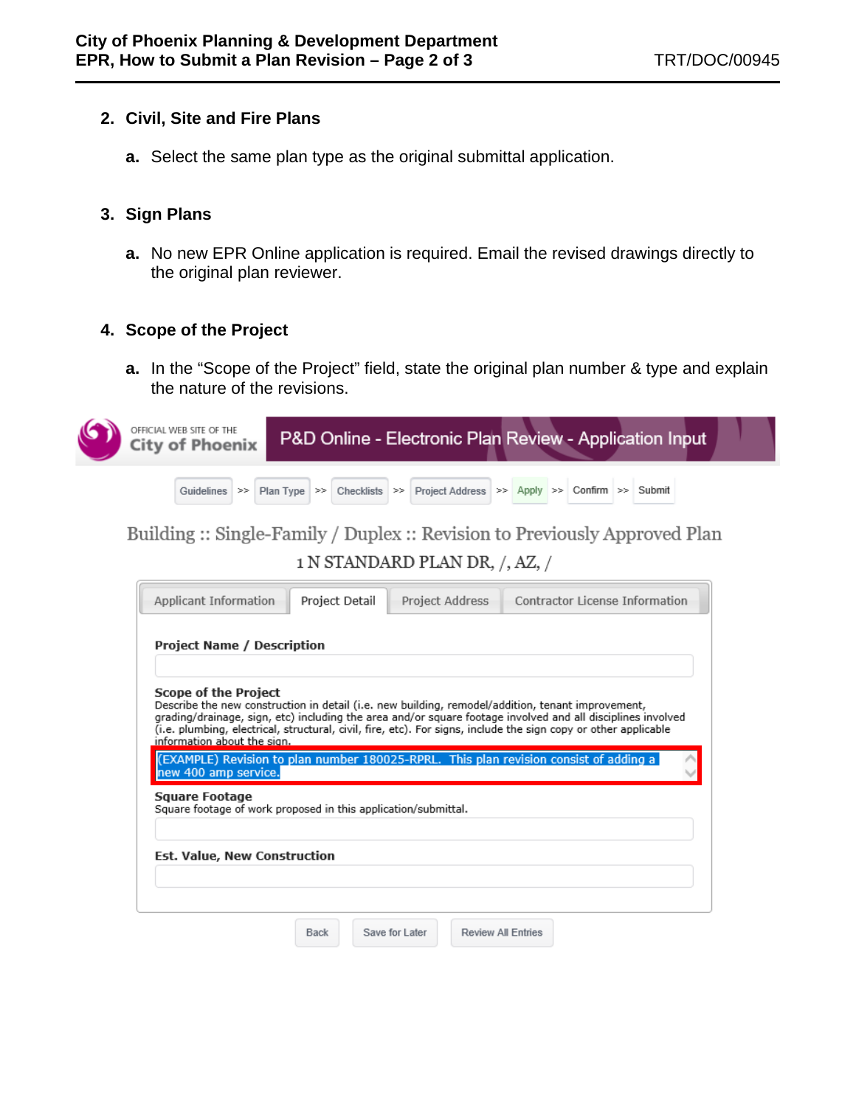# **2. Civil, Site and Fire Plans**

**a.** Select the same plan type as the original submittal application.

### **3. Sign Plans**

**a.** No new EPR Online application is required. Email the revised drawings directly to the original plan reviewer.

# **4. Scope of the Project**

**a.** In the "Scope of the Project" field, state the original plan number & type and explain the nature of the revisions.



Building :: Single-Family / Duplex :: Revision to Previously Approved Plan 1 N STANDARD PLAN DR, /, AZ, /

| Applicant Information                                                                                                                                                                                                                                                                                                                                                                             | Project Detail | Project Address | Contractor License Information |  |  |
|---------------------------------------------------------------------------------------------------------------------------------------------------------------------------------------------------------------------------------------------------------------------------------------------------------------------------------------------------------------------------------------------------|----------------|-----------------|--------------------------------|--|--|
| <b>Project Name / Description</b>                                                                                                                                                                                                                                                                                                                                                                 |                |                 |                                |  |  |
| <b>Scope of the Project</b><br>Describe the new construction in detail (i.e. new building, remodel/addition, tenant improvement,<br>grading/drainage, sign, etc) including the area and/or square footage involved and all disciplines involved<br>(i.e. plumbing, electrical, structural, civil, fire, etc). For signs, include the sign copy or other applicable<br>information about the sign. |                |                 |                                |  |  |
| (EXAMPLE) Revision to plan number 180025-RPRL. This plan revision consist of adding a<br>new 400 amp service.<br>Square Footage<br>Square footage of work proposed in this application/submittal.                                                                                                                                                                                                 |                |                 |                                |  |  |
| Est. Value, New Construction                                                                                                                                                                                                                                                                                                                                                                      |                |                 |                                |  |  |
|                                                                                                                                                                                                                                                                                                                                                                                                   |                |                 |                                |  |  |

Review All Entries